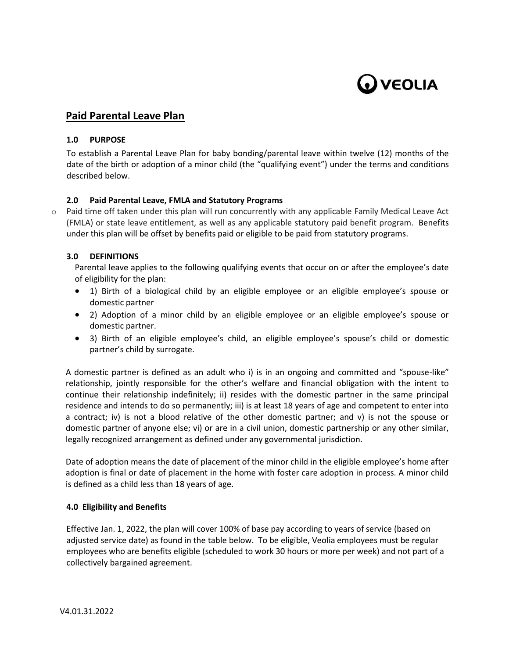# O VEOLIA

# **Paid Parental Leave Plan**

## **1.0 PURPOSE**

To establish a Parental Leave Plan for baby bonding/parental leave within twelve (12) months of the date of the birth or adoption of a minor child (the "qualifying event") under the terms and conditions described below.

#### **2.0 Paid Parental Leave, FMLA and Statutory Programs**

 $\circ$  Paid time off taken under this plan will run concurrently with any applicable Family Medical Leave Act (FMLA) or state leave entitlement, as well as any applicable statutory paid benefit program. Benefits under this plan will be offset by benefits paid or eligible to be paid from statutory programs.

#### **3.0 DEFINITIONS**

Parental leave applies to the following qualifying events that occur on or after the employee's date of eligibility for the plan:

- 1) Birth of a biological child by an eligible employee or an eligible employee's spouse or domestic partner
- 2) Adoption of a minor child by an eligible employee or an eligible employee's spouse or domestic partner.
- 3) Birth of an eligible employee's child, an eligible employee's spouse's child or domestic partner's child by surrogate.

A domestic partner is defined as an adult who i) is in an ongoing and committed and "spouse-like" relationship, jointly responsible for the other's welfare and financial obligation with the intent to continue their relationship indefinitely; ii) resides with the domestic partner in the same principal residence and intends to do so permanently; iii) is at least 18 years of age and competent to enter into a contract; iv) is not a blood relative of the other domestic partner; and v) is not the spouse or domestic partner of anyone else; vi) or are in a civil union, domestic partnership or any other similar, legally recognized arrangement as defined under any governmental jurisdiction.

Date of adoption means the date of placement of the minor child in the eligible employee's home after adoption is final or date of placement in the home with foster care adoption in process. A minor child is defined as a child less than 18 years of age.

#### **4.0 Eligibility and Benefits**

Effective Jan. 1, 2022, the plan will cover 100% of base pay according to years of service (based on adjusted service date) as found in the table below. To be eligible, Veolia employees must be regular employees who are benefits eligible (scheduled to work 30 hours or more per week) and not part of a collectively bargained agreement.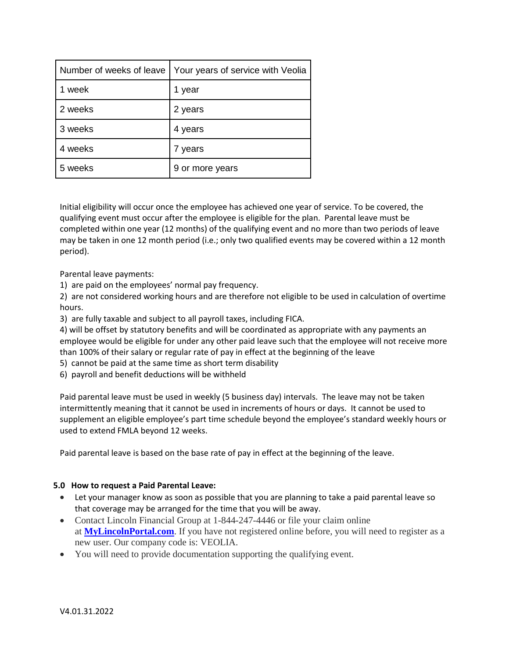| Number of weeks of leave | Your years of service with Veolia |
|--------------------------|-----------------------------------|
| 1 week                   | 1 year                            |
| 2 weeks                  | 2 years                           |
| 3 weeks                  | 4 years                           |
| 4 weeks                  | 7 years                           |
| 5 weeks                  | 9 or more years                   |

Initial eligibility will occur once the employee has achieved one year of service. To be covered, the qualifying event must occur after the employee is eligible for the plan. Parental leave must be completed within one year (12 months) of the qualifying event and no more than two periods of leave may be taken in one 12 month period (i.e.; only two qualified events may be covered within a 12 month period).

Parental leave payments:

1) are paid on the employees' normal pay frequency.

2) are not considered working hours and are therefore not eligible to be used in calculation of overtime hours.

3) are fully taxable and subject to all payroll taxes, including FICA.

4) will be offset by statutory benefits and will be coordinated as appropriate with any payments an employee would be eligible for under any other paid leave such that the employee will not receive more than 100% of their salary or regular rate of pay in effect at the beginning of the leave

- 5) cannot be paid at the same time as short term disability
- 6) payroll and benefit deductions will be withheld

Paid parental leave must be used in weekly (5 business day) intervals. The leave may not be taken intermittently meaning that it cannot be used in increments of hours or days. It cannot be used to supplement an eligible employee's part time schedule beyond the employee's standard weekly hours or used to extend FMLA beyond 12 weeks.

Paid parental leave is based on the base rate of pay in effect at the beginning of the leave.

## **5.0 How to request a Paid Parental Leave:**

- Let your manager know as soon as possible that you are planning to take a paid parental leave so that coverage may be arranged for the time that you will be away.
- Contact Lincoln Financial Group at 1-844-247-4446 or file your claim online at **[MyLincolnPortal.com](http://www.mylincolnportal.com/)**. If you have not registered online before, you will need to register as a new user. Our company code is: VEOLIA.
- You will need to provide documentation supporting the qualifying event.